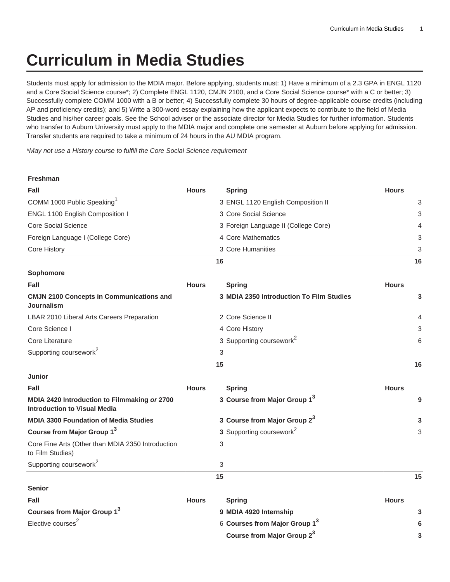## **Curriculum in Media Studies**

Students must apply for admission to the MDIA major. Before applying, students must: 1) Have a minimum of a 2.3 GPA in ENGL 1120 and a Core Social Science course\*; 2) Complete ENGL 1120, CMJN 2100, and a Core Social Science course\* with a C or better; 3) Successfully complete COMM 1000 with a B or better; 4) Successfully complete 30 hours of degree-applicable course credits (including AP and proficiency credits); and 5) Write a 300-word essay explaining how the applicant expects to contribute to the field of Media Studies and his/her career goals. See the School adviser or the associate director for Media Studies for further information. Students who transfer to Auburn University must apply to the MDIA major and complete one semester at Auburn before applying for admission. Transfer students are required to take a minimum of 24 hours in the AU MDIA program.

\*May not use a History course to fulfill the Core Social Science requirement

| <b>Freshman</b>                                                                     |              |    |                                           |              |    |
|-------------------------------------------------------------------------------------|--------------|----|-------------------------------------------|--------------|----|
| Fall                                                                                | <b>Hours</b> |    | <b>Spring</b>                             | <b>Hours</b> |    |
| COMM 1000 Public Speaking <sup>1</sup>                                              |              |    | 3 ENGL 1120 English Composition II        |              | 3  |
| ENGL 1100 English Composition I                                                     |              |    | 3 Core Social Science                     |              | 3  |
| <b>Core Social Science</b>                                                          |              |    | 3 Foreign Language II (College Core)      |              | 4  |
| Foreign Language I (College Core)                                                   |              |    | 4 Core Mathematics                        |              | 3  |
| Core History                                                                        |              |    | 3 Core Humanities                         |              | 3  |
|                                                                                     |              | 16 |                                           |              | 16 |
| Sophomore                                                                           |              |    |                                           |              |    |
| Fall                                                                                | <b>Hours</b> |    | <b>Spring</b>                             | <b>Hours</b> |    |
| <b>CMJN 2100 Concepts in Communications and</b><br>Journalism                       |              |    | 3 MDIA 2350 Introduction To Film Studies  |              | 3  |
| LBAR 2010 Liberal Arts Careers Preparation                                          |              |    | 2 Core Science II                         |              | 4  |
| Core Science I                                                                      |              |    | 4 Core History                            |              | 3  |
| Core Literature                                                                     |              |    | 3 Supporting coursework <sup>2</sup>      |              | 6  |
| Supporting coursework <sup>2</sup>                                                  |              | 3  |                                           |              |    |
|                                                                                     |              | 15 |                                           |              | 16 |
| <b>Junior</b>                                                                       |              |    |                                           |              |    |
| <b>Fall</b>                                                                         | <b>Hours</b> |    | <b>Spring</b>                             | <b>Hours</b> |    |
| MDIA 2420 Introduction to Filmmaking or 2700<br><b>Introduction to Visual Media</b> |              |    | 3 Course from Major Group 1 <sup>3</sup>  |              | 9  |
| <b>MDIA 3300 Foundation of Media Studies</b>                                        |              |    | 3 Course from Major Group 2 <sup>3</sup>  |              | 3  |
| Course from Major Group 1 <sup>3</sup>                                              |              |    | 3 Supporting coursework <sup>2</sup>      |              | 3  |
| Core Fine Arts (Other than MDIA 2350 Introduction<br>to Film Studies)               |              | 3  |                                           |              |    |
| Supporting coursework <sup>2</sup>                                                  |              | 3  |                                           |              |    |
|                                                                                     |              | 15 |                                           |              | 15 |
| <b>Senior</b>                                                                       |              |    |                                           |              |    |
| Fall                                                                                | <b>Hours</b> |    | <b>Spring</b>                             | <b>Hours</b> |    |
| Courses from Major Group 1 <sup>3</sup>                                             |              |    | 9 MDIA 4920 Internship                    |              | 3  |
| Elective courses <sup>2</sup>                                                       |              |    | 6 Courses from Major Group 1 <sup>3</sup> |              | 6  |
|                                                                                     |              |    | Course from Major Group 23                |              | 3  |